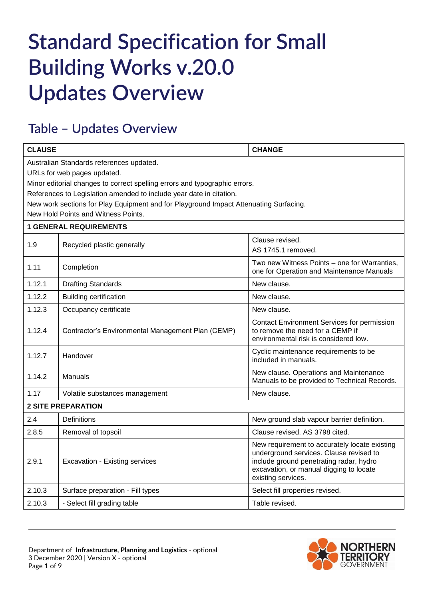## **Standard Specification for Small Building Works v.20.0 Updates Overview**

## **Table – Updates Overview**

| <b>CLAUSE</b>                                                                                                                                                                                                                                                                                                         |                                                             | <b>CHANGE</b>                                                                                                                                                                                        |  |
|-----------------------------------------------------------------------------------------------------------------------------------------------------------------------------------------------------------------------------------------------------------------------------------------------------------------------|-------------------------------------------------------------|------------------------------------------------------------------------------------------------------------------------------------------------------------------------------------------------------|--|
| Australian Standards references updated.<br>URLs for web pages updated.<br>Minor editorial changes to correct spelling errors and typographic errors.<br>References to Legislation amended to include year date in citation.<br>New work sections for Play Equipment and for Playground Impact Attenuating Surfacing. |                                                             |                                                                                                                                                                                                      |  |
|                                                                                                                                                                                                                                                                                                                       | New Hold Points and Witness Points.                         |                                                                                                                                                                                                      |  |
| 1.9                                                                                                                                                                                                                                                                                                                   | <b>1 GENERAL REQUIREMENTS</b><br>Recycled plastic generally | Clause revised.<br>AS 1745.1 removed.                                                                                                                                                                |  |
| 1.11                                                                                                                                                                                                                                                                                                                  | Completion                                                  | Two new Witness Points – one for Warranties,<br>one for Operation and Maintenance Manuals                                                                                                            |  |
| 1.12.1                                                                                                                                                                                                                                                                                                                | <b>Drafting Standards</b>                                   | New clause.                                                                                                                                                                                          |  |
| 1.12.2                                                                                                                                                                                                                                                                                                                | <b>Building certification</b>                               | New clause.                                                                                                                                                                                          |  |
| 1.12.3                                                                                                                                                                                                                                                                                                                | Occupancy certificate                                       | New clause.                                                                                                                                                                                          |  |
| 1.12.4                                                                                                                                                                                                                                                                                                                | Contractor's Environmental Management Plan (CEMP)           | <b>Contact Environment Services for permission</b><br>to remove the need for a CEMP if<br>environmental risk is considered low.                                                                      |  |
| 1.12.7                                                                                                                                                                                                                                                                                                                | Handover                                                    | Cyclic maintenance requirements to be<br>included in manuals.                                                                                                                                        |  |
| 1.14.2                                                                                                                                                                                                                                                                                                                | Manuals                                                     | New clause. Operations and Maintenance<br>Manuals to be provided to Technical Records.                                                                                                               |  |
| 1.17                                                                                                                                                                                                                                                                                                                  | Volatile substances management                              | New clause.                                                                                                                                                                                          |  |
| <b>2 SITE PREPARATION</b>                                                                                                                                                                                                                                                                                             |                                                             |                                                                                                                                                                                                      |  |
| 2.4                                                                                                                                                                                                                                                                                                                   | Definitions                                                 | New ground slab vapour barrier definition.                                                                                                                                                           |  |
| 2.8.5                                                                                                                                                                                                                                                                                                                 | Removal of topsoil                                          | Clause revised. AS 3798 cited.                                                                                                                                                                       |  |
| 2.9.1                                                                                                                                                                                                                                                                                                                 | <b>Excavation - Existing services</b>                       | New requirement to accurately locate existing<br>underground services. Clause revised to<br>include ground penetrating radar, hydro<br>excavation, or manual digging to locate<br>existing services. |  |
| 2.10.3                                                                                                                                                                                                                                                                                                                | Surface preparation - Fill types                            | Select fill properties revised.                                                                                                                                                                      |  |
| 2.10.3                                                                                                                                                                                                                                                                                                                | - Select fill grading table                                 | Table revised.                                                                                                                                                                                       |  |

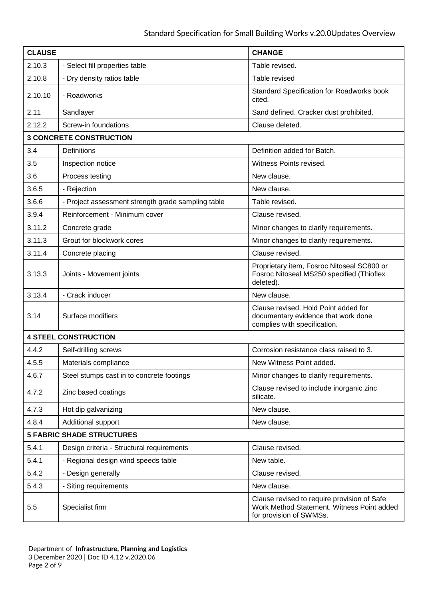| <b>CLAUSE</b>                    |                                                    | <b>CHANGE</b>                                                                                                        |
|----------------------------------|----------------------------------------------------|----------------------------------------------------------------------------------------------------------------------|
| 2.10.3                           | - Select fill properties table                     | Table revised.                                                                                                       |
| 2.10.8                           | - Dry density ratios table                         | Table revised                                                                                                        |
| 2.10.10                          | - Roadworks                                        | Standard Specification for Roadworks book<br>cited.                                                                  |
| 2.11                             | Sandlayer                                          | Sand defined. Cracker dust prohibited.                                                                               |
| 2.12.2                           | Screw-in foundations                               | Clause deleted.                                                                                                      |
|                                  | <b>3 CONCRETE CONSTRUCTION</b>                     |                                                                                                                      |
| 3.4                              | Definitions                                        | Definition added for Batch.                                                                                          |
| 3.5                              | Inspection notice                                  | Witness Points revised.                                                                                              |
| 3.6                              | Process testing                                    | New clause.                                                                                                          |
| 3.6.5                            | - Rejection                                        | New clause.                                                                                                          |
| 3.6.6                            | - Project assessment strength grade sampling table | Table revised.                                                                                                       |
| 3.9.4                            | Reinforcement - Minimum cover                      | Clause revised.                                                                                                      |
| 3.11.2                           | Concrete grade                                     | Minor changes to clarify requirements.                                                                               |
| 3.11.3                           | Grout for blockwork cores                          | Minor changes to clarify requirements.                                                                               |
| 3.11.4                           | Concrete placing                                   | Clause revised.                                                                                                      |
| 3.13.3                           | Joints - Movement joints                           | Proprietary item, Fosroc Nitoseal SC800 or<br>Fosroc Nitoseal MS250 specified (Thioflex<br>deleted).                 |
| 3.13.4                           | - Crack inducer                                    | New clause.                                                                                                          |
| 3.14                             | Surface modifiers                                  | Clause revised. Hold Point added for<br>documentary evidence that work done<br>complies with specification.          |
|                                  | <b>4 STEEL CONSTRUCTION</b>                        |                                                                                                                      |
| 4.4.2                            | Self-drilling screws                               | Corrosion resistance class raised to 3.                                                                              |
| 4.5.5                            | Materials compliance                               | New Witness Point added.                                                                                             |
| 4.6.7                            | Steel stumps cast in to concrete footings          | Minor changes to clarify requirements.                                                                               |
| 4.7.2                            | Zinc based coatings                                | Clause revised to include inorganic zinc<br>silicate.                                                                |
| 4.7.3                            | Hot dip galvanizing                                | New clause.                                                                                                          |
| 4.8.4                            | Additional support                                 | New clause.                                                                                                          |
| <b>5 FABRIC SHADE STRUCTURES</b> |                                                    |                                                                                                                      |
| 5.4.1                            | Design criteria - Structural requirements          | Clause revised.                                                                                                      |
| 5.4.1                            | - Regional design wind speeds table                | New table.                                                                                                           |
| 5.4.2                            | - Design generally                                 | Clause revised.                                                                                                      |
| 5.4.3                            | - Siting requirements                              | New clause.                                                                                                          |
| 5.5                              | Specialist firm                                    | Clause revised to require provision of Safe<br>Work Method Statement. Witness Point added<br>for provision of SWMSs. |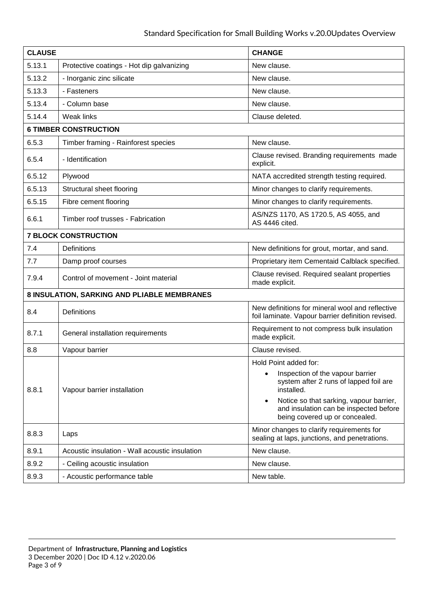| <b>CLAUSE</b>                               |                                                | <b>CHANGE</b>                                                                                                                                                                                                                             |
|---------------------------------------------|------------------------------------------------|-------------------------------------------------------------------------------------------------------------------------------------------------------------------------------------------------------------------------------------------|
| 5.13.1                                      | Protective coatings - Hot dip galvanizing      | New clause.                                                                                                                                                                                                                               |
| 5.13.2                                      | - Inorganic zinc silicate                      | New clause.                                                                                                                                                                                                                               |
| 5.13.3                                      | - Fasteners                                    | New clause.                                                                                                                                                                                                                               |
| 5.13.4                                      | - Column base                                  | New clause.                                                                                                                                                                                                                               |
| 5.14.4                                      | <b>Weak links</b>                              | Clause deleted.                                                                                                                                                                                                                           |
|                                             | <b>6 TIMBER CONSTRUCTION</b>                   |                                                                                                                                                                                                                                           |
| 6.5.3                                       | Timber framing - Rainforest species            | New clause.                                                                                                                                                                                                                               |
| 6.5.4                                       | - Identification                               | Clause revised. Branding requirements made<br>explicit.                                                                                                                                                                                   |
| 6.5.12                                      | Plywood                                        | NATA accredited strength testing required.                                                                                                                                                                                                |
| 6.5.13                                      | Structural sheet flooring                      | Minor changes to clarify requirements.                                                                                                                                                                                                    |
| 6.5.15                                      | Fibre cement flooring                          | Minor changes to clarify requirements.                                                                                                                                                                                                    |
| 6.6.1                                       | Timber roof trusses - Fabrication              | AS/NZS 1170, AS 1720.5, AS 4055, and<br>AS 4446 cited.                                                                                                                                                                                    |
|                                             | <b>7 BLOCK CONSTRUCTION</b>                    |                                                                                                                                                                                                                                           |
| 7.4                                         | Definitions                                    | New definitions for grout, mortar, and sand.                                                                                                                                                                                              |
| 7.7                                         | Damp proof courses                             | Proprietary item Cementaid Calblack specified.                                                                                                                                                                                            |
| 7.9.4                                       | Control of movement - Joint material           | Clause revised. Required sealant properties<br>made explicit.                                                                                                                                                                             |
| 8 INSULATION, SARKING AND PLIABLE MEMBRANES |                                                |                                                                                                                                                                                                                                           |
| 8.4                                         | Definitions                                    | New definitions for mineral wool and reflective<br>foil laminate. Vapour barrier definition revised.                                                                                                                                      |
| 8.7.1                                       | General installation requirements              | Requirement to not compress bulk insulation<br>made explicit.                                                                                                                                                                             |
| 8.8                                         | Vapour barrier                                 | Clause revised.                                                                                                                                                                                                                           |
|                                             |                                                | Hold Point added for:                                                                                                                                                                                                                     |
| 8.8.1                                       | Vapour barrier installation                    | Inspection of the vapour barrier<br>$\bullet$<br>system after 2 runs of lapped foil are<br>installed.<br>Notice so that sarking, vapour barrier,<br>$\bullet$<br>and insulation can be inspected before<br>being covered up or concealed. |
| 8.8.3                                       | Laps                                           | Minor changes to clarify requirements for<br>sealing at laps, junctions, and penetrations.                                                                                                                                                |
| 8.9.1                                       | Acoustic insulation - Wall acoustic insulation | New clause.                                                                                                                                                                                                                               |
| 8.9.2                                       | - Ceiling acoustic insulation                  | New clause.                                                                                                                                                                                                                               |
| 8.9.3                                       | - Acoustic performance table                   | New table.                                                                                                                                                                                                                                |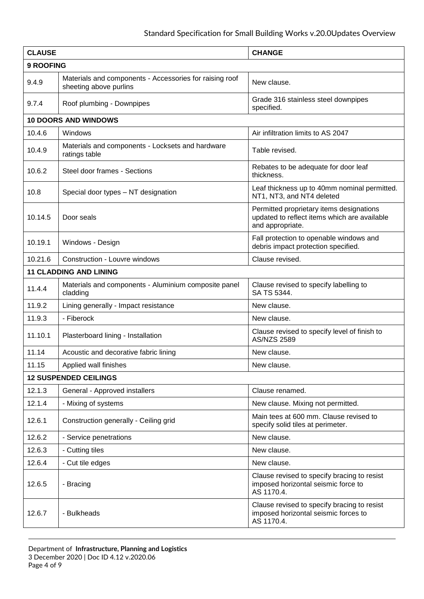| <b>CLAUSE</b> |                                                                                   | <b>CHANGE</b>                                                                                                |
|---------------|-----------------------------------------------------------------------------------|--------------------------------------------------------------------------------------------------------------|
| 9 ROOFING     |                                                                                   |                                                                                                              |
| 9.4.9         | Materials and components - Accessories for raising roof<br>sheeting above purlins | New clause.                                                                                                  |
| 9.7.4         | Roof plumbing - Downpipes                                                         | Grade 316 stainless steel downpipes<br>specified.                                                            |
|               | <b>10 DOORS AND WINDOWS</b>                                                       |                                                                                                              |
| 10.4.6        | Windows                                                                           | Air infiltration limits to AS 2047                                                                           |
| 10.4.9        | Materials and components - Locksets and hardware<br>ratings table                 | Table revised.                                                                                               |
| 10.6.2        | Steel door frames - Sections                                                      | Rebates to be adequate for door leaf<br>thickness.                                                           |
| 10.8          | Special door types - NT designation                                               | Leaf thickness up to 40mm nominal permitted.<br>NT1, NT3, and NT4 deleted                                    |
| 10.14.5       | Door seals                                                                        | Permitted proprietary items designations<br>updated to reflect items which are available<br>and appropriate. |
| 10.19.1       | Windows - Design                                                                  | Fall protection to openable windows and<br>debris impact protection specified.                               |
| 10.21.6       | Construction - Louvre windows                                                     | Clause revised.                                                                                              |
|               | <b>11 CLADDING AND LINING</b>                                                     |                                                                                                              |
| 11.4.4        | Materials and components - Aluminium composite panel<br>cladding                  | Clause revised to specify labelling to<br>SA TS 5344.                                                        |
| 11.9.2        | Lining generally - Impact resistance                                              | New clause.                                                                                                  |
| 11.9.3        | - Fiberock                                                                        | New clause.                                                                                                  |
| 11.10.1       | Plasterboard lining - Installation                                                | Clause revised to specify level of finish to<br><b>AS/NZS 2589</b>                                           |
| 11.14         | Acoustic and decorative fabric lining                                             | New clause.                                                                                                  |
| 11.15         | Applied wall finishes                                                             | New clause.                                                                                                  |
|               | <b>12 SUSPENDED CEILINGS</b>                                                      |                                                                                                              |
| 12.1.3        | General - Approved installers                                                     | Clause renamed.                                                                                              |
| 12.1.4        | - Mixing of systems                                                               | New clause. Mixing not permitted.                                                                            |
| 12.6.1        | Construction generally - Ceiling grid                                             | Main tees at 600 mm. Clause revised to<br>specify solid tiles at perimeter.                                  |
| 12.6.2        | - Service penetrations                                                            | New clause.                                                                                                  |
| 12.6.3        | - Cutting tiles                                                                   | New clause.                                                                                                  |
| 12.6.4        | - Cut tile edges                                                                  | New clause.                                                                                                  |
| 12.6.5        | - Bracing                                                                         | Clause revised to specify bracing to resist<br>imposed horizontal seismic force to<br>AS 1170.4.             |
| 12.6.7        | - Bulkheads                                                                       | Clause revised to specify bracing to resist<br>imposed horizontal seismic forces to<br>AS 1170.4.            |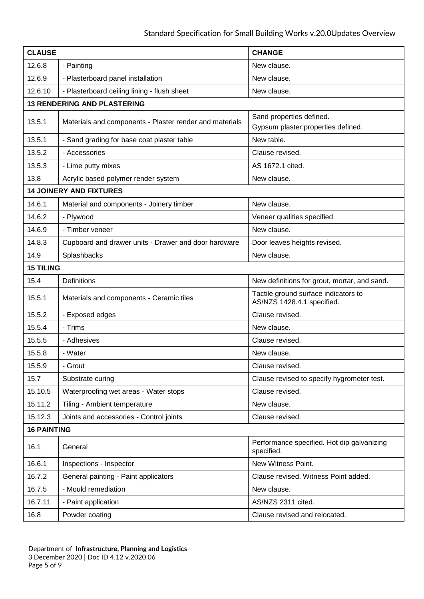| <b>CLAUSE</b>      |                                                         | <b>CHANGE</b>                                                      |
|--------------------|---------------------------------------------------------|--------------------------------------------------------------------|
| 12.6.8             | - Painting                                              | New clause.                                                        |
| 12.6.9             | - Plasterboard panel installation                       | New clause.                                                        |
| 12.6.10            | - Plasterboard ceiling lining - flush sheet             | New clause.                                                        |
|                    | <b>13 RENDERING AND PLASTERING</b>                      |                                                                    |
| 13.5.1             | Materials and components - Plaster render and materials | Sand properties defined.                                           |
|                    |                                                         | Gypsum plaster properties defined.                                 |
| 13.5.1             | - Sand grading for base coat plaster table              | New table.                                                         |
| 13.5.2             | - Accessories                                           | Clause revised.                                                    |
| 13.5.3             | - Lime putty mixes                                      | AS 1672.1 cited.                                                   |
| 13.8               | Acrylic based polymer render system                     | New clause.                                                        |
|                    | <b>14 JOINERY AND FIXTURES</b>                          |                                                                    |
| 14.6.1             | Material and components - Joinery timber                | New clause.                                                        |
| 14.6.2             | - Plywood                                               | Veneer qualities specified                                         |
| 14.6.9             | - Timber veneer                                         | New clause.                                                        |
| 14.8.3             | Cupboard and drawer units - Drawer and door hardware    | Door leaves heights revised.                                       |
| 14.9               | Splashbacks                                             | New clause.                                                        |
| <b>15 TILING</b>   |                                                         |                                                                    |
| 15.4               | <b>Definitions</b>                                      | New definitions for grout, mortar, and sand.                       |
| 15.5.1             | Materials and components - Ceramic tiles                | Tactile ground surface indicators to<br>AS/NZS 1428.4.1 specified. |
| 15.5.2             | - Exposed edges                                         | Clause revised.                                                    |
| 15.5.4             | - Trims                                                 | New clause.                                                        |
| 15.5.5             | - Adhesives                                             | Clause revised.                                                    |
| 15.5.8             | - Water                                                 | New clause.                                                        |
| 15.5.9             | - Grout                                                 | Clause revised.                                                    |
| 15.7               | Substrate curing                                        | Clause revised to specify hygrometer test.                         |
| 15.10.5            | Waterproofing wet areas - Water stops                   | Clause revised.                                                    |
| 15.11.2            | Tiling - Ambient temperature                            | New clause.                                                        |
| 15.12.3            | Joints and accessories - Control joints                 | Clause revised.                                                    |
| <b>16 PAINTING</b> |                                                         |                                                                    |
| 16.1               | General                                                 | Performance specified. Hot dip galvanizing<br>specified.           |
| 16.6.1             | Inspections - Inspector                                 | New Witness Point.                                                 |
| 16.7.2             | General painting - Paint applicators                    | Clause revised. Witness Point added.                               |
| 16.7.5             | - Mould remediation                                     | New clause.                                                        |
| 16.7.11            | - Paint application                                     | AS/NZS 2311 cited.                                                 |
| 16.8               | Powder coating                                          | Clause revised and relocated.                                      |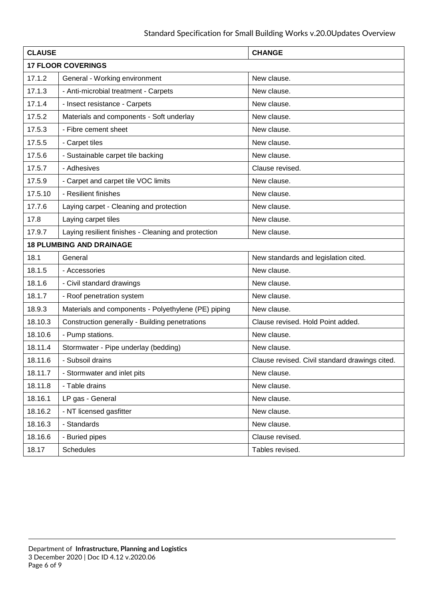| <b>CLAUSE</b> |                                                     | <b>CHANGE</b>                                  |
|---------------|-----------------------------------------------------|------------------------------------------------|
|               | <b>17 FLOOR COVERINGS</b>                           |                                                |
| 17.1.2        | General - Working environment                       | New clause.                                    |
| 17.1.3        | - Anti-microbial treatment - Carpets                | New clause.                                    |
| 17.1.4        | - Insect resistance - Carpets                       | New clause.                                    |
| 17.5.2        | Materials and components - Soft underlay            | New clause.                                    |
| 17.5.3        | - Fibre cement sheet                                | New clause.                                    |
| 17.5.5        | - Carpet tiles                                      | New clause.                                    |
| 17.5.6        | - Sustainable carpet tile backing                   | New clause.                                    |
| 17.5.7        | - Adhesives                                         | Clause revised.                                |
| 17.5.9        | - Carpet and carpet tile VOC limits                 | New clause.                                    |
| 17.5.10       | - Resilient finishes                                | New clause.                                    |
| 17.7.6        | Laying carpet - Cleaning and protection             | New clause.                                    |
| 17.8          | Laying carpet tiles                                 | New clause.                                    |
| 17.9.7        | Laying resilient finishes - Cleaning and protection | New clause.                                    |
|               | <b>18 PLUMBING AND DRAINAGE</b>                     |                                                |
| 18.1          | General                                             | New standards and legislation cited.           |
| 18.1.5        | - Accessories                                       | New clause.                                    |
| 18.1.6        | - Civil standard drawings                           | New clause.                                    |
| 18.1.7        | - Roof penetration system                           | New clause.                                    |
| 18.9.3        | Materials and components - Polyethylene (PE) piping | New clause.                                    |
| 18.10.3       | Construction generally - Building penetrations      | Clause revised. Hold Point added.              |
| 18.10.6       | - Pump stations.                                    | New clause.                                    |
| 18.11.4       | Stormwater - Pipe underlay (bedding)                | New clause.                                    |
| 18.11.6       | - Subsoil drains                                    | Clause revised. Civil standard drawings cited. |
| 18.11.7       | - Stormwater and inlet pits                         | New clause.                                    |
| 18.11.8       | - Table drains                                      | New clause.                                    |
| 18.16.1       | LP gas - General                                    | New clause.                                    |
| 18.16.2       | - NT licensed gasfitter                             | New clause.                                    |
| 18.16.3       | - Standards                                         | New clause.                                    |
| 18.16.6       | - Buried pipes                                      | Clause revised.                                |
| 18.17         | <b>Schedules</b>                                    | Tables revised.                                |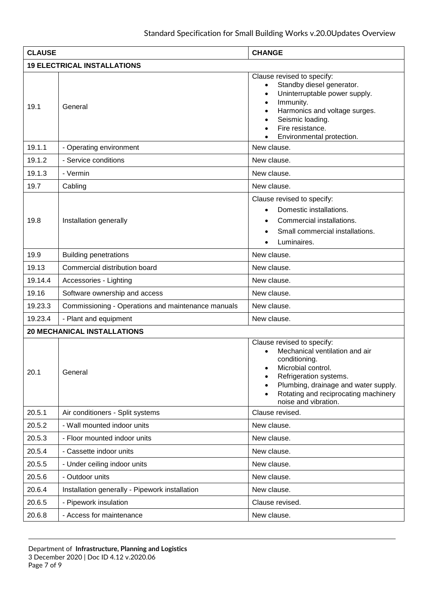| <b>CLAUSE</b> |                                                    | <b>CHANGE</b>                                                                                                                                                                                                                                      |
|---------------|----------------------------------------------------|----------------------------------------------------------------------------------------------------------------------------------------------------------------------------------------------------------------------------------------------------|
|               | <b>19 ELECTRICAL INSTALLATIONS</b>                 |                                                                                                                                                                                                                                                    |
| 19.1          | General                                            | Clause revised to specify:<br>Standby diesel generator.<br>Uninterruptable power supply.<br>$\bullet$<br>Immunity.<br>$\bullet$<br>Harmonics and voltage surges.<br>Seismic loading.<br>Fire resistance.<br>Environmental protection.              |
| 19.1.1        | - Operating environment                            | New clause.                                                                                                                                                                                                                                        |
| 19.1.2        | - Service conditions                               | New clause.                                                                                                                                                                                                                                        |
| 19.1.3        | - Vermin                                           | New clause.                                                                                                                                                                                                                                        |
| 19.7          | Cabling                                            | New clause.                                                                                                                                                                                                                                        |
| 19.8          | Installation generally                             | Clause revised to specify:<br>Domestic installations.<br>$\bullet$<br>Commercial installations.<br>Small commercial installations.<br>Luminaires.                                                                                                  |
| 19.9          | <b>Building penetrations</b>                       | New clause.                                                                                                                                                                                                                                        |
| 19.13         | Commercial distribution board                      | New clause.                                                                                                                                                                                                                                        |
| 19.14.4       | Accessories - Lighting                             | New clause.                                                                                                                                                                                                                                        |
| 19.16         | Software ownership and access                      | New clause.                                                                                                                                                                                                                                        |
| 19.23.3       | Commissioning - Operations and maintenance manuals | New clause.                                                                                                                                                                                                                                        |
| 19.23.4       | - Plant and equipment                              | New clause.                                                                                                                                                                                                                                        |
|               | <b>20 MECHANICAL INSTALLATIONS</b>                 |                                                                                                                                                                                                                                                    |
| 20.1          | General                                            | Clause revised to specify:<br>Mechanical ventilation and air<br>conditioning.<br>Microbial control.<br>$\bullet$<br>Refrigeration systems.<br>Plumbing, drainage and water supply.<br>Rotating and reciprocating machinery<br>noise and vibration. |
| 20.5.1        | Air conditioners - Split systems                   | Clause revised.                                                                                                                                                                                                                                    |
| 20.5.2        | - Wall mounted indoor units                        | New clause.                                                                                                                                                                                                                                        |
| 20.5.3        | - Floor mounted indoor units                       | New clause.                                                                                                                                                                                                                                        |
| 20.5.4        | - Cassette indoor units                            | New clause.                                                                                                                                                                                                                                        |
| 20.5.5        | - Under ceiling indoor units                       | New clause.                                                                                                                                                                                                                                        |
| 20.5.6        | - Outdoor units                                    | New clause.                                                                                                                                                                                                                                        |
| 20.6.4        | Installation generally - Pipework installation     | New clause.                                                                                                                                                                                                                                        |
| 20.6.5        | - Pipework insulation                              | Clause revised.                                                                                                                                                                                                                                    |
| 20.6.8        | - Access for maintenance                           | New clause.                                                                                                                                                                                                                                        |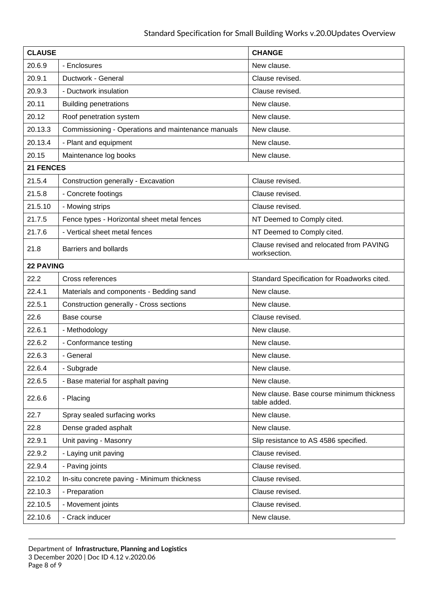| <b>CLAUSE</b>    |                                                    | <b>CHANGE</b>                                             |
|------------------|----------------------------------------------------|-----------------------------------------------------------|
| 20.6.9           | - Enclosures                                       | New clause.                                               |
| 20.9.1           | Ductwork - General                                 | Clause revised.                                           |
| 20.9.3           | - Ductwork insulation                              | Clause revised.                                           |
| 20.11            | <b>Building penetrations</b>                       | New clause.                                               |
| 20.12            | Roof penetration system                            | New clause.                                               |
| 20.13.3          | Commissioning - Operations and maintenance manuals | New clause.                                               |
| 20.13.4          | - Plant and equipment                              | New clause.                                               |
| 20.15            | Maintenance log books                              | New clause.                                               |
| 21 FENCES        |                                                    |                                                           |
| 21.5.4           | Construction generally - Excavation                | Clause revised.                                           |
| 21.5.8           | - Concrete footings                                | Clause revised.                                           |
| 21.5.10          | - Mowing strips                                    | Clause revised.                                           |
| 21.7.5           | Fence types - Horizontal sheet metal fences        | NT Deemed to Comply cited.                                |
| 21.7.6           | - Vertical sheet metal fences                      | NT Deemed to Comply cited.                                |
| 21.8             | Barriers and bollards                              | Clause revised and relocated from PAVING<br>worksection.  |
| <b>22 PAVING</b> |                                                    |                                                           |
| 22.2             | Cross references                                   | Standard Specification for Roadworks cited.               |
| 22.4.1           | Materials and components - Bedding sand            | New clause.                                               |
| 22.5.1           | Construction generally - Cross sections            | New clause.                                               |
| 22.6             | Base course                                        | Clause revised.                                           |
| 22.6.1           | - Methodology                                      | New clause.                                               |
| 22.6.2           | - Conformance testing                              | New clause.                                               |
| 22.6.3           | - General                                          | New clause.                                               |
| 22.6.4           | - Subgrade                                         | New clause.                                               |
| 22.6.5           | - Base material for asphalt paving                 | New clause.                                               |
| 22.6.6           | - Placing                                          | New clause. Base course minimum thickness<br>table added. |
| 22.7             | Spray sealed surfacing works                       | New clause.                                               |
| 22.8             | Dense graded asphalt                               | New clause.                                               |
| 22.9.1           | Unit paving - Masonry                              | Slip resistance to AS 4586 specified.                     |
| 22.9.2           | - Laying unit paving                               | Clause revised.                                           |
| 22.9.4           | - Paving joints                                    | Clause revised.                                           |
| 22.10.2          | In-situ concrete paving - Minimum thickness        | Clause revised.                                           |
| 22.10.3          | - Preparation                                      | Clause revised.                                           |
| 22.10.5          | - Movement joints                                  | Clause revised.                                           |
| 22.10.6          | - Crack inducer                                    | New clause.                                               |